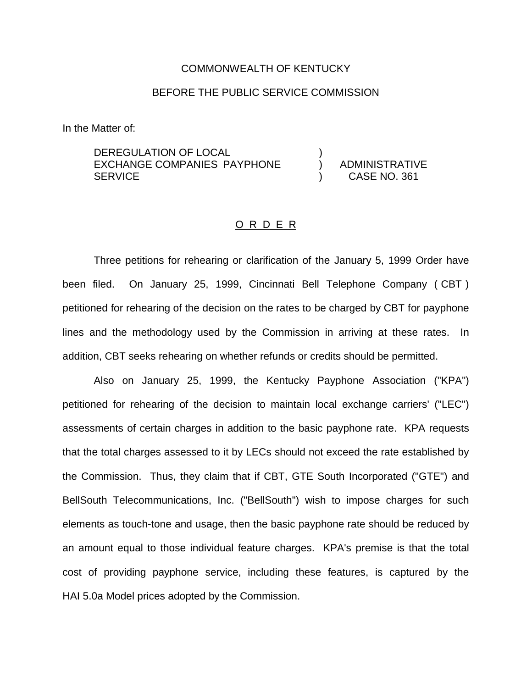## COMMONWEALTH OF KENTUCKY

# BEFORE THE PUBLIC SERVICE COMMISSION

In the Matter of:

DEREGULATION OF LOCAL EXCHANGE COMPANIES PAYPHONE **SERVICE** 

) ADMINISTRATIVE ) CASE NO. 361

)

## O R D E R

Three petitions for rehearing or clarification of the January 5, 1999 Order have been filed. On January 25, 1999, Cincinnati Bell Telephone Company ( CBT ) petitioned for rehearing of the decision on the rates to be charged by CBT for payphone lines and the methodology used by the Commission in arriving at these rates. In addition, CBT seeks rehearing on whether refunds or credits should be permitted.

Also on January 25, 1999, the Kentucky Payphone Association ("KPA") petitioned for rehearing of the decision to maintain local exchange carriers' ("LEC") assessments of certain charges in addition to the basic payphone rate. KPA requests that the total charges assessed to it by LECs should not exceed the rate established by the Commission. Thus, they claim that if CBT, GTE South Incorporated ("GTE") and BellSouth Telecommunications, Inc. ("BellSouth") wish to impose charges for such elements as touch-tone and usage, then the basic payphone rate should be reduced by an amount equal to those individual feature charges. KPA's premise is that the total cost of providing payphone service, including these features, is captured by the HAI 5.0a Model prices adopted by the Commission.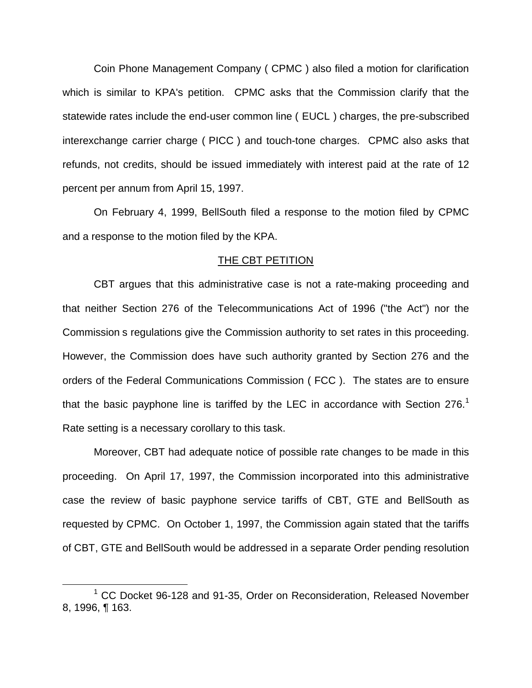Coin Phone Management Company ( CPMC ) also filed a motion for clarification which is similar to KPA's petition. CPMC asks that the Commission clarify that the statewide rates include the end-user common line ( EUCL ) charges, the pre-subscribed interexchange carrier charge ( PICC ) and touch-tone charges. CPMC also asks that refunds, not credits, should be issued immediately with interest paid at the rate of 12 percent per annum from April 15, 1997.

On February 4, 1999, BellSouth filed a response to the motion filed by CPMC and a response to the motion filed by the KPA.

#### THE CBT PETITION

CBT argues that this administrative case is not a rate-making proceeding and that neither Section 276 of the Telecommunications Act of 1996 ("the Act") nor the Commission s regulations give the Commission authority to set rates in this proceeding. However, the Commission does have such authority granted by Section 276 and the orders of the Federal Communications Commission ( FCC ). The states are to ensure that the basic payphone line is tariffed by the LEC in accordance with Section 276.<sup>1</sup> Rate setting is a necessary corollary to this task.

Moreover, CBT had adequate notice of possible rate changes to be made in this proceeding. On April 17, 1997, the Commission incorporated into this administrative case the review of basic payphone service tariffs of CBT, GTE and BellSouth as requested by CPMC. On October 1, 1997, the Commission again stated that the tariffs of CBT, GTE and BellSouth would be addressed in a separate Order pending resolution

<sup>&</sup>lt;sup>1</sup> CC Docket 96-128 and 91-35, Order on Reconsideration, Released November 8, 1996, ¶ 163.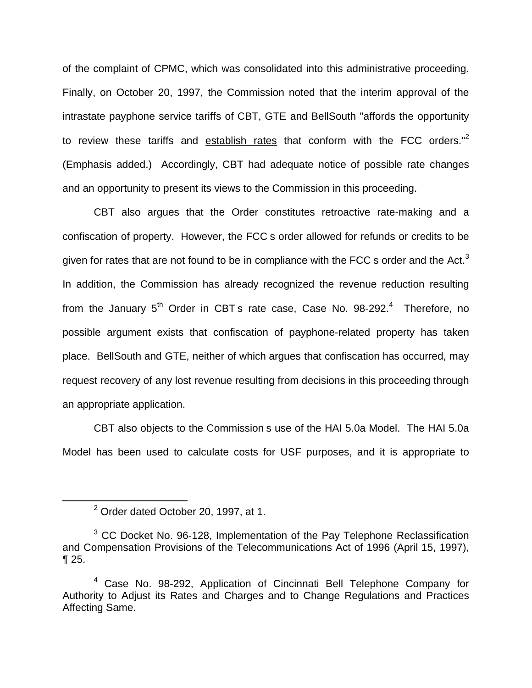of the complaint of CPMC, which was consolidated into this administrative proceeding. Finally, on October 20, 1997, the Commission noted that the interim approval of the intrastate payphone service tariffs of CBT, GTE and BellSouth "affords the opportunity to review these tariffs and establish rates that conform with the FCC orders.<sup>"2</sup> (Emphasis added.) Accordingly, CBT had adequate notice of possible rate changes and an opportunity to present its views to the Commission in this proceeding.

CBT also argues that the Order constitutes retroactive rate-making and a confiscation of property. However, the FCC s order allowed for refunds or credits to be given for rates that are not found to be in compliance with the FCC s order and the Act.<sup>3</sup> In addition, the Commission has already recognized the revenue reduction resulting from the January  $5<sup>th</sup>$  Order in CBT s rate case, Case No. 98-292.<sup>4</sup> Therefore, no possible argument exists that confiscation of payphone-related property has taken place. BellSouth and GTE, neither of which argues that confiscation has occurred, may request recovery of any lost revenue resulting from decisions in this proceeding through an appropriate application.

CBT also objects to the Commission s use of the HAI 5.0a Model. The HAI 5.0a Model has been used to calculate costs for USF purposes, and it is appropriate to

<sup>2</sup> Order dated October 20, 1997, at 1.

 $3$  CC Docket No. 96-128, Implementation of the Pay Telephone Reclassification and Compensation Provisions of the Telecommunications Act of 1996 (April 15, 1997), ¶ 25.

<sup>4</sup> Case No. 98-292, Application of Cincinnati Bell Telephone Company for Authority to Adjust its Rates and Charges and to Change Regulations and Practices Affecting Same.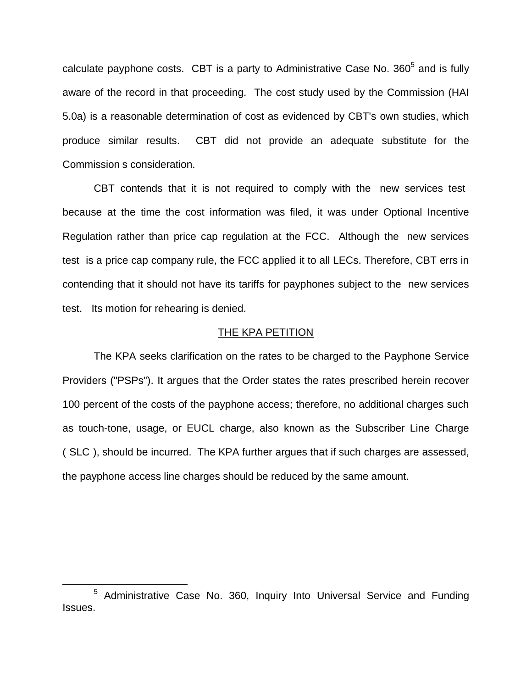calculate payphone costs. CBT is a party to Administrative Case No.  $360<sup>5</sup>$  and is fully aware of the record in that proceeding. The cost study used by the Commission (HAI 5.0a) is a reasonable determination of cost as evidenced by CBT's own studies, which produce similar results. CBT did not provide an adequate substitute for the Commission s consideration.

CBT contends that it is not required to comply with the new services test because at the time the cost information was filed, it was under Optional Incentive Regulation rather than price cap regulation at the FCC. Although the new services test is a price cap company rule, the FCC applied it to all LECs. Therefore, CBT errs in contending that it should not have its tariffs for payphones subject to the new services test. Its motion for rehearing is denied.

### THE KPA PETITION

The KPA seeks clarification on the rates to be charged to the Payphone Service Providers ("PSPs"). It argues that the Order states the rates prescribed herein recover 100 percent of the costs of the payphone access; therefore, no additional charges such as touch-tone, usage, or EUCL charge, also known as the Subscriber Line Charge ( SLC ), should be incurred. The KPA further argues that if such charges are assessed, the payphone access line charges should be reduced by the same amount.

<sup>5</sup> Administrative Case No. 360, Inquiry Into Universal Service and Funding Issues.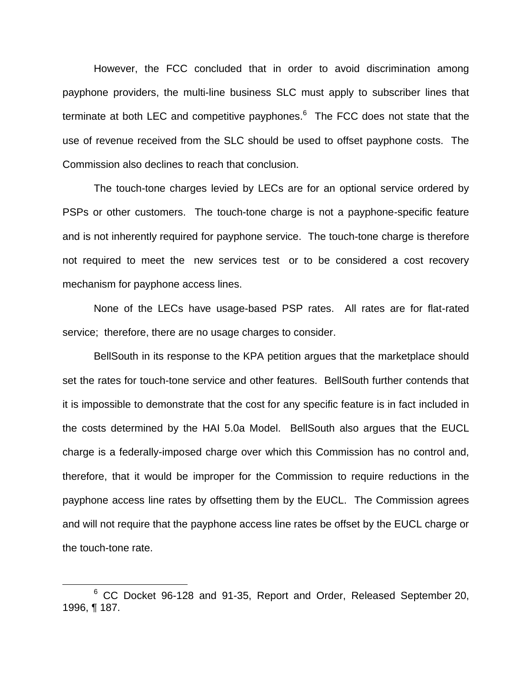However, the FCC concluded that in order to avoid discrimination among payphone providers, the multi-line business SLC must apply to subscriber lines that terminate at both LEC and competitive payphones. $6$  The FCC does not state that the use of revenue received from the SLC should be used to offset payphone costs. The Commission also declines to reach that conclusion.

The touch-tone charges levied by LECs are for an optional service ordered by PSPs or other customers. The touch-tone charge is not a payphone-specific feature and is not inherently required for payphone service. The touch-tone charge is therefore not required to meet the new services test or to be considered a cost recovery mechanism for payphone access lines.

None of the LECs have usage-based PSP rates. All rates are for flat-rated service; therefore, there are no usage charges to consider.

BellSouth in its response to the KPA petition argues that the marketplace should set the rates for touch-tone service and other features. BellSouth further contends that it is impossible to demonstrate that the cost for any specific feature is in fact included in the costs determined by the HAI 5.0a Model. BellSouth also argues that the EUCL charge is a federally-imposed charge over which this Commission has no control and, therefore, that it would be improper for the Commission to require reductions in the payphone access line rates by offsetting them by the EUCL. The Commission agrees and will not require that the payphone access line rates be offset by the EUCL charge or the touch-tone rate.

<sup>6</sup> CC Docket 96-128 and 91-35, Report and Order, Released September 20, 1996, ¶ 187.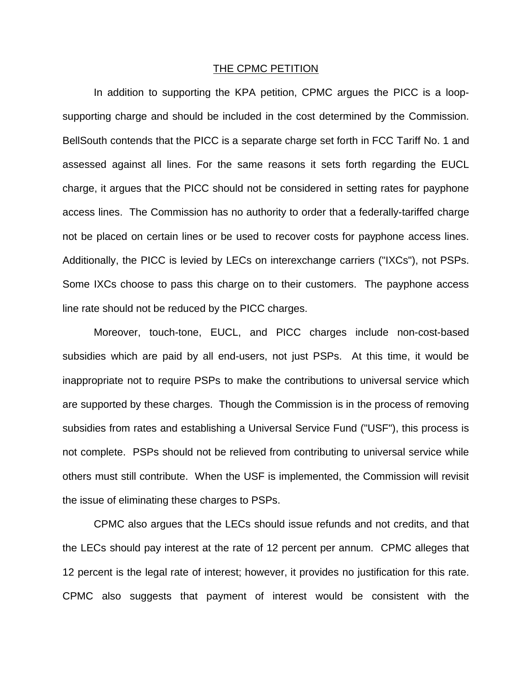#### THE CPMC PETITION

In addition to supporting the KPA petition, CPMC argues the PICC is a loopsupporting charge and should be included in the cost determined by the Commission. BellSouth contends that the PICC is a separate charge set forth in FCC Tariff No. 1 and assessed against all lines. For the same reasons it sets forth regarding the EUCL charge, it argues that the PICC should not be considered in setting rates for payphone access lines. The Commission has no authority to order that a federally-tariffed charge not be placed on certain lines or be used to recover costs for payphone access lines. Additionally, the PICC is levied by LECs on interexchange carriers ("IXCs"), not PSPs. Some IXCs choose to pass this charge on to their customers. The payphone access line rate should not be reduced by the PICC charges.

Moreover, touch-tone, EUCL, and PICC charges include non-cost-based subsidies which are paid by all end-users, not just PSPs. At this time, it would be inappropriate not to require PSPs to make the contributions to universal service which are supported by these charges. Though the Commission is in the process of removing subsidies from rates and establishing a Universal Service Fund ("USF"), this process is not complete. PSPs should not be relieved from contributing to universal service while others must still contribute. When the USF is implemented, the Commission will revisit the issue of eliminating these charges to PSPs.

CPMC also argues that the LECs should issue refunds and not credits, and that the LECs should pay interest at the rate of 12 percent per annum. CPMC alleges that 12 percent is the legal rate of interest; however, it provides no justification for this rate. CPMC also suggests that payment of interest would be consistent with the